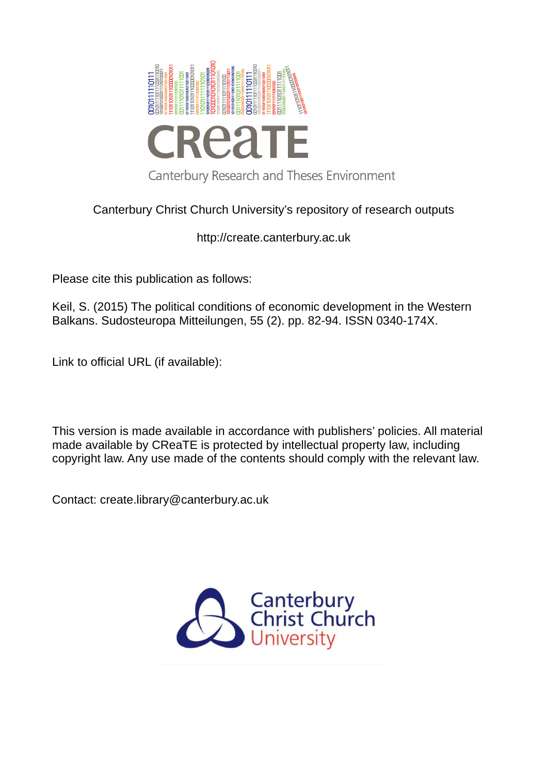

# Canterbury Christ Church University's repository of research outputs

http://create.canterbury.ac.uk

Please cite this publication as follows:

Keil, S. (2015) The political conditions of economic development in the Western Balkans. Sudosteuropa Mitteilungen, 55 (2). pp. 82-94. ISSN 0340-174X.

Link to official URL (if available):

This version is made available in accordance with publishers' policies. All material made available by CReaTE is protected by intellectual property law, including copyright law. Any use made of the contents should comply with the relevant law.

Contact: create.library@canterbury.ac.uk

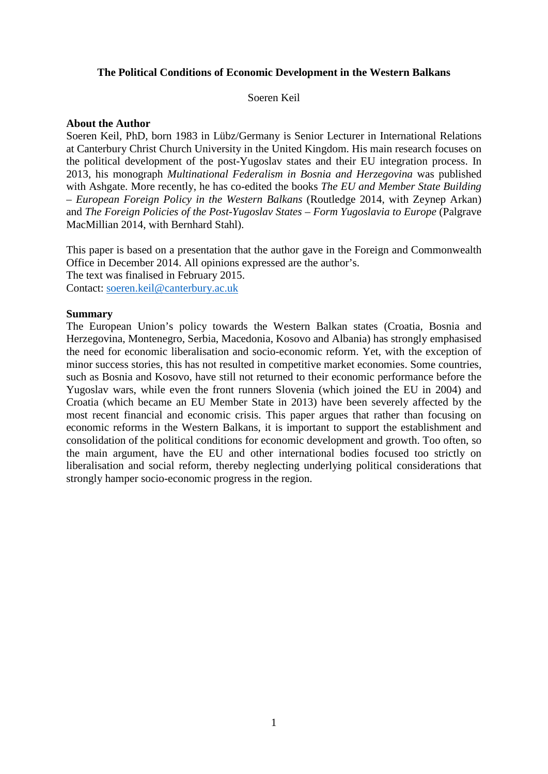### **The Political Conditions of Economic Development in the Western Balkans**

Soeren Keil

#### **About the Author**

Soeren Keil, PhD, born 1983 in Lübz/Germany is Senior Lecturer in International Relations at Canterbury Christ Church University in the United Kingdom. His main research focuses on the political development of the post-Yugoslav states and their EU integration process. In 2013, his monograph *Multinational Federalism in Bosnia and Herzegovina* was published with Ashgate. More recently, he has co-edited the books *The EU and Member State Building – European Foreign Policy in the Western Balkans* (Routledge 2014, with Zeynep Arkan) and *The Foreign Policies of the Post-Yugoslav States – Form Yugoslavia to Europe* (Palgrave MacMillian 2014, with Bernhard Stahl).

This paper is based on a presentation that the author gave in the Foreign and Commonwealth Office in December 2014. All opinions expressed are the author's.

The text was finalised in February 2015.

Contact: [soeren.keil@canterbury.ac.uk](mailto:soeren.keil@canterbury.ac.uk) 

#### **Summary**

<span id="page-1-2"></span><span id="page-1-1"></span><span id="page-1-0"></span>The European Union's policy towards the Western Balkan states (Croatia, Bosnia and Herzegovina, Montenegro, Serbia, Macedonia, Kosovo and Albania) has strongly emphasised the need for economic liberalisation and socio-economic reform. Yet, with the exception of minor success stories, this has not resulted in competitive market economies. Some countries, such as Bosnia and Kosovo, have still not returned to their economic performance before the Yugoslav wars, while even the front runners Slovenia (which joined the EU in 2004) and Croatia (which became an EU Member State in 2013) have been severely affected by the most recent financial and economic crisis. This paper argues that rather than focusing on economic reforms in the Western Balkans, it is important to support the establishment and consolidation of the political conditions for economic development and growth. Too often, so the main argument, have the EU and other international bodies focused too strictly on liberalisation and social reform, thereby neglecting underlying political considerations that strongly hamper socio-economic progress in the region.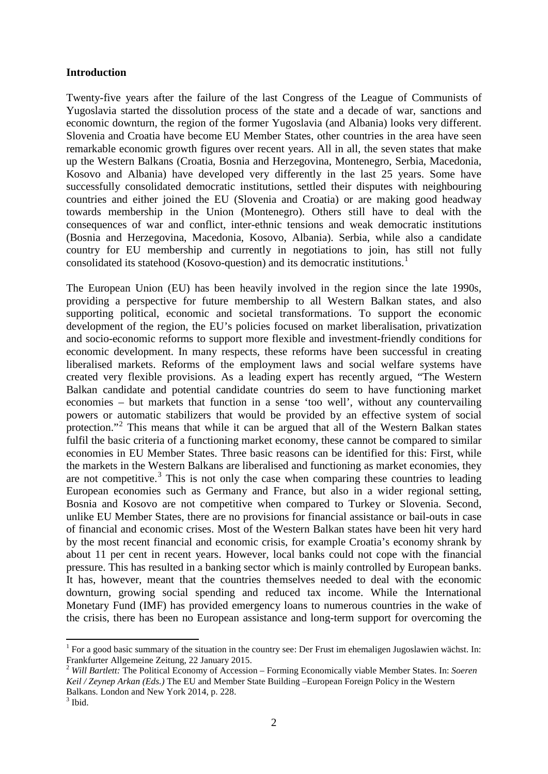### **Introduction**

Twenty-five years after the failure of the last Congress of the League of Communists of Yugoslavia started the dissolution process of the state and a decade of war, sanctions and economic downturn, the region of the former Yugoslavia (and Albania) looks very different. Slovenia and Croatia have become EU Member States, other countries in the area have seen remarkable economic growth figures over recent years. All in all, the seven states that make up the Western Balkans (Croatia, Bosnia and Herzegovina, Montenegro, Serbia, Macedonia, Kosovo and Albania) have developed very differently in the last 25 years. Some have successfully consolidated democratic institutions, settled their disputes with neighbouring countries and either joined the EU (Slovenia and Croatia) or are making good headway towards membership in the Union (Montenegro). Others still have to deal with the consequences of war and conflict, inter-ethnic tensions and weak democratic institutions (Bosnia and Herzegovina, Macedonia, Kosovo, Albania). Serbia, while also a candidate country for EU membership and currently in negotiations to join, has still not fully consolidated its statehood (Kosovo-question) and its democratic institutions.[1](#page-1-0)

The European Union (EU) has been heavily involved in the region since the late 1990s, providing a perspective for future membership to all Western Balkan states, and also supporting political, economic and societal transformations. To support the economic development of the region, the EU's policies focused on market liberalisation, privatization and socio-economic reforms to support more flexible and investment-friendly conditions for economic development. In many respects, these reforms have been successful in creating liberalised markets. Reforms of the employment laws and social welfare systems have created very flexible provisions. As a leading expert has recently argued, "The Western Balkan candidate and potential candidate countries do seem to have functioning market economies – but markets that function in a sense 'too well', without any countervailing powers or automatic stabilizers that would be provided by an effective system of social protection."<sup>[2](#page-1-1)</sup> This means that while it can be argued that all of the Western Balkan states fulfil the basic criteria of a functioning market economy, these cannot be compared to similar economies in EU Member States. Three basic reasons can be identified for this: First, while the markets in the Western Balkans are liberalised and functioning as market economies, they are not competitive. $3$  This is not only the case when comparing these countries to leading European economies such as Germany and France, but also in a wider regional setting, Bosnia and Kosovo are not competitive when compared to Turkey or Slovenia. Second, unlike EU Member States, there are no provisions for financial assistance or bail-outs in case of financial and economic crises. Most of the Western Balkan states have been hit very hard by the most recent financial and economic crisis, for example Croatia's economy shrank by about 11 per cent in recent years. However, local banks could not cope with the financial pressure. This has resulted in a banking sector which is mainly controlled by European banks. It has, however, meant that the countries themselves needed to deal with the economic downturn, growing social spending and reduced tax income. While the International Monetary Fund (IMF) has provided emergency loans to numerous countries in the wake of the crisis, there has been no European assistance and long-term support for overcoming the

 $\overline{a}$ 

<sup>&</sup>lt;sup>1</sup> For a good basic summary of the situation in the country see: Der Frust im ehemaligen Jugoslawien wächst. In: Frankfurter Allgemeine Zeitung, 22 January 2015.

<sup>2</sup> *Will Bartlett:* The Political Economy of Accession – Forming Economically viable Member States. In: *Soeren Keil / Zeynep Arkan (Eds.)* The EU and Member State Building –European Foreign Policy in the Western Balkans. London and New York 2014, p. 228.

<sup>&</sup>lt;sup>3</sup> Ibid.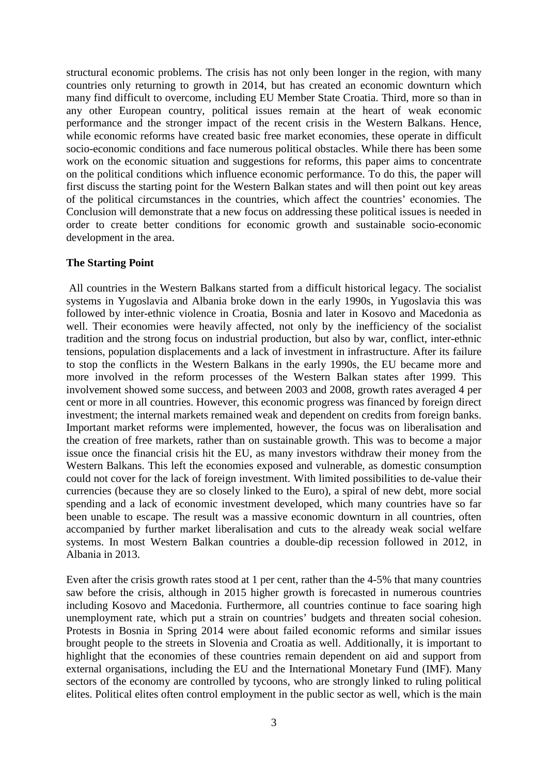structural economic problems. The crisis has not only been longer in the region, with many countries only returning to growth in 2014, but has created an economic downturn which many find difficult to overcome, including EU Member State Croatia. Third, more so than in any other European country, political issues remain at the heart of weak economic performance and the stronger impact of the recent crisis in the Western Balkans. Hence, while economic reforms have created basic free market economies, these operate in difficult socio-economic conditions and face numerous political obstacles. While there has been some work on the economic situation and suggestions for reforms, this paper aims to concentrate on the political conditions which influence economic performance. To do this, the paper will first discuss the starting point for the Western Balkan states and will then point out key areas of the political circumstances in the countries, which affect the countries' economies. The Conclusion will demonstrate that a new focus on addressing these political issues is needed in order to create better conditions for economic growth and sustainable socio-economic development in the area.

#### **The Starting Point**

All countries in the Western Balkans started from a difficult historical legacy. The socialist systems in Yugoslavia and Albania broke down in the early 1990s, in Yugoslavia this was followed by inter-ethnic violence in Croatia, Bosnia and later in Kosovo and Macedonia as well. Their economies were heavily affected, not only by the inefficiency of the socialist tradition and the strong focus on industrial production, but also by war, conflict, inter-ethnic tensions, population displacements and a lack of investment in infrastructure. After its failure to stop the conflicts in the Western Balkans in the early 1990s, the EU became more and more involved in the reform processes of the Western Balkan states after 1999. This involvement showed some success, and between 2003 and 2008, growth rates averaged 4 per cent or more in all countries. However, this economic progress was financed by foreign direct investment; the internal markets remained weak and dependent on credits from foreign banks. Important market reforms were implemented, however, the focus was on liberalisation and the creation of free markets, rather than on sustainable growth. This was to become a major issue once the financial crisis hit the EU, as many investors withdraw their money from the Western Balkans. This left the economies exposed and vulnerable, as domestic consumption could not cover for the lack of foreign investment. With limited possibilities to de-value their currencies (because they are so closely linked to the Euro), a spiral of new debt, more social spending and a lack of economic investment developed, which many countries have so far been unable to escape. The result was a massive economic downturn in all countries, often accompanied by further market liberalisation and cuts to the already weak social welfare systems. In most Western Balkan countries a double-dip recession followed in 2012, in Albania in 2013.

<span id="page-3-1"></span><span id="page-3-0"></span>Even after the crisis growth rates stood at 1 per cent, rather than the 4-5% that many countries saw before the crisis, although in 2015 higher growth is forecasted in numerous countries including Kosovo and Macedonia. Furthermore, all countries continue to face soaring high unemployment rate, which put a strain on countries' budgets and threaten social cohesion. Protests in Bosnia in Spring 2014 were about failed economic reforms and similar issues brought people to the streets in Slovenia and Croatia as well. Additionally, it is important to highlight that the economies of these countries remain dependent on aid and support from external organisations, including the EU and the International Monetary Fund (IMF). Many sectors of the economy are controlled by tycoons, who are strongly linked to ruling political elites. Political elites often control employment in the public sector as well, which is the main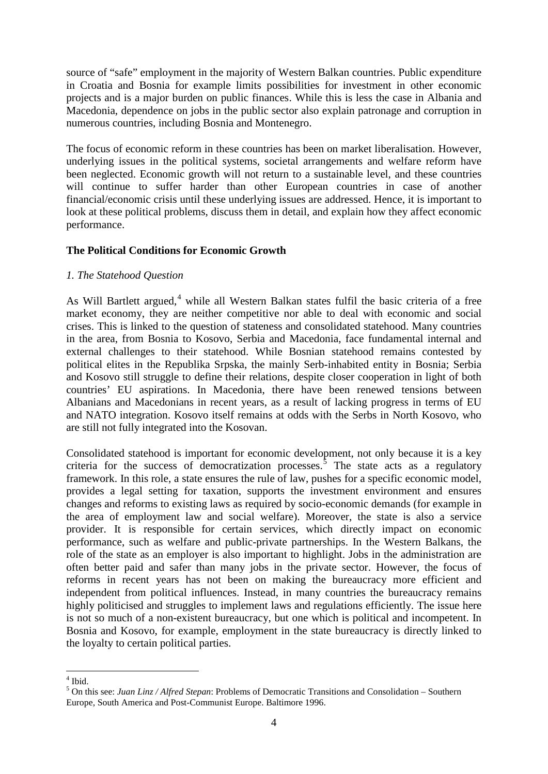source of "safe" employment in the majority of Western Balkan countries. Public expenditure in Croatia and Bosnia for example limits possibilities for investment in other economic projects and is a major burden on public finances. While this is less the case in Albania and Macedonia, dependence on jobs in the public sector also explain patronage and corruption in numerous countries, including Bosnia and Montenegro.

The focus of economic reform in these countries has been on market liberalisation. However, underlying issues in the political systems, societal arrangements and welfare reform have been neglected. Economic growth will not return to a sustainable level, and these countries will continue to suffer harder than other European countries in case of another financial/economic crisis until these underlying issues are addressed. Hence, it is important to look at these political problems, discuss them in detail, and explain how they affect economic performance.

# **The Political Conditions for Economic Growth**

# *1. The Statehood Question*

As Will Bartlett argued,<sup>[4](#page-3-0)</sup> while all Western Balkan states fulfil the basic criteria of a free market economy, they are neither competitive nor able to deal with economic and social crises. This is linked to the question of stateness and consolidated statehood. Many countries in the area, from Bosnia to Kosovo, Serbia and Macedonia, face fundamental internal and external challenges to their statehood. While Bosnian statehood remains contested by political elites in the Republika Srpska, the mainly Serb-inhabited entity in Bosnia; Serbia and Kosovo still struggle to define their relations, despite closer cooperation in light of both countries' EU aspirations. In Macedonia, there have been renewed tensions between Albanians and Macedonians in recent years, as a result of lacking progress in terms of EU and NATO integration. Kosovo itself remains at odds with the Serbs in North Kosovo, who are still not fully integrated into the Kosovan.

Consolidated statehood is important for economic development, not only because it is a key criteria for the success of democratization processes.<sup>[5](#page-3-1)</sup> The state acts as a regulatory framework. In this role, a state ensures the rule of law, pushes for a specific economic model, provides a legal setting for taxation, supports the investment environment and ensures changes and reforms to existing laws as required by socio-economic demands (for example in the area of employment law and social welfare). Moreover, the state is also a service provider. It is responsible for certain services, which directly impact on economic performance, such as welfare and public-private partnerships. In the Western Balkans, the role of the state as an employer is also important to highlight. Jobs in the administration are often better paid and safer than many jobs in the private sector. However, the focus of reforms in recent years has not been on making the bureaucracy more efficient and independent from political influences. Instead, in many countries the bureaucracy remains highly politicised and struggles to implement laws and regulations efficiently. The issue here is not so much of a non-existent bureaucracy, but one which is political and incompetent. In Bosnia and Kosovo, for example, employment in the state bureaucracy is directly linked to the loyalty to certain political parties.

 $\overline{a}$ 

<sup>4</sup> Ibid.

<sup>5</sup> On this see: *Juan Linz / Alfred Stepan*: Problems of Democratic Transitions and Consolidation – Southern Europe, South America and Post-Communist Europe. Baltimore 1996.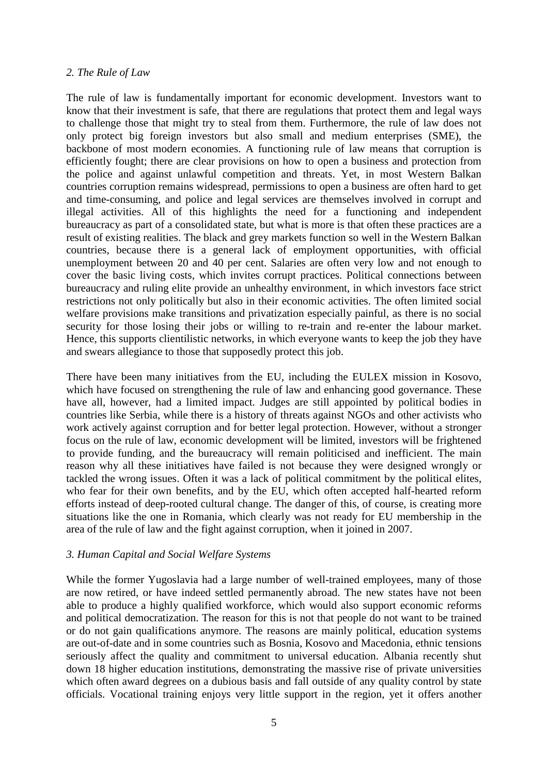#### *2. The Rule of Law*

The rule of law is fundamentally important for economic development. Investors want to know that their investment is safe, that there are regulations that protect them and legal ways to challenge those that might try to steal from them. Furthermore, the rule of law does not only protect big foreign investors but also small and medium enterprises (SME), the backbone of most modern economies. A functioning rule of law means that corruption is efficiently fought; there are clear provisions on how to open a business and protection from the police and against unlawful competition and threats. Yet, in most Western Balkan countries corruption remains widespread, permissions to open a business are often hard to get and time-consuming, and police and legal services are themselves involved in corrupt and illegal activities. All of this highlights the need for a functioning and independent bureaucracy as part of a consolidated state, but what is more is that often these practices are a result of existing realities. The black and grey markets function so well in the Western Balkan countries, because there is a general lack of employment opportunities, with official unemployment between 20 and 40 per cent. Salaries are often very low and not enough to cover the basic living costs, which invites corrupt practices. Political connections between bureaucracy and ruling elite provide an unhealthy environment, in which investors face strict restrictions not only politically but also in their economic activities. The often limited social welfare provisions make transitions and privatization especially painful, as there is no social security for those losing their jobs or willing to re-train and re-enter the labour market. Hence, this supports clientilistic networks, in which everyone wants to keep the job they have and swears allegiance to those that supposedly protect this job.

There have been many initiatives from the EU, including the EULEX mission in Kosovo, which have focused on strengthening the rule of law and enhancing good governance. These have all, however, had a limited impact. Judges are still appointed by political bodies in countries like Serbia, while there is a history of threats against NGOs and other activists who work actively against corruption and for better legal protection. However, without a stronger focus on the rule of law, economic development will be limited, investors will be frightened to provide funding, and the bureaucracy will remain politicised and inefficient. The main reason why all these initiatives have failed is not because they were designed wrongly or tackled the wrong issues. Often it was a lack of political commitment by the political elites, who fear for their own benefits, and by the EU, which often accepted half-hearted reform efforts instead of deep-rooted cultural change. The danger of this, of course, is creating more situations like the one in Romania, which clearly was not ready for EU membership in the area of the rule of law and the fight against corruption, when it joined in 2007.

## *3. Human Capital and Social Welfare Systems*

<span id="page-5-0"></span>While the former Yugoslavia had a large number of well-trained employees, many of those are now retired, or have indeed settled permanently abroad. The new states have not been able to produce a highly qualified workforce, which would also support economic reforms and political democratization. The reason for this is not that people do not want to be trained or do not gain qualifications anymore. The reasons are mainly political, education systems are out-of-date and in some countries such as Bosnia, Kosovo and Macedonia, ethnic tensions seriously affect the quality and commitment to universal education. Albania recently shut down 18 higher education institutions, demonstrating the massive rise of private universities which often award degrees on a dubious basis and fall outside of any quality control by state officials. Vocational training enjoys very little support in the region, yet it offers another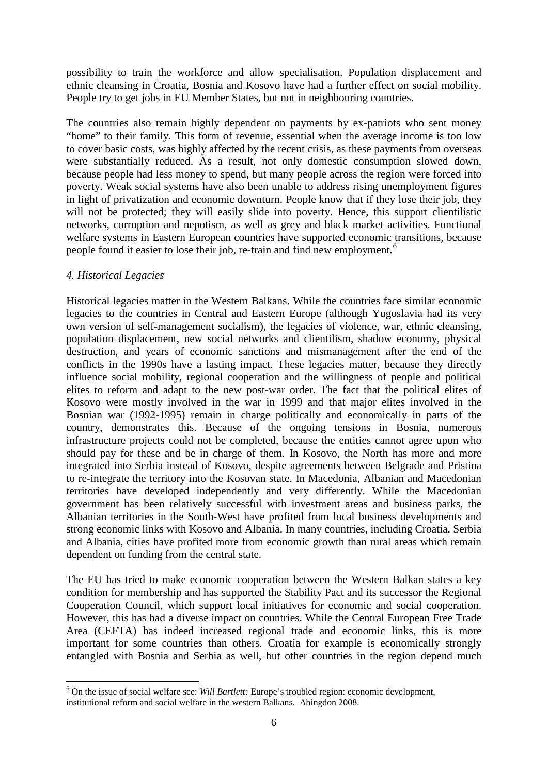possibility to train the workforce and allow specialisation. Population displacement and ethnic cleansing in Croatia, Bosnia and Kosovo have had a further effect on social mobility. People try to get jobs in EU Member States, but not in neighbouring countries.

The countries also remain highly dependent on payments by ex-patriots who sent money "home" to their family. This form of revenue, essential when the average income is too low to cover basic costs, was highly affected by the recent crisis, as these payments from overseas were substantially reduced. As a result, not only domestic consumption slowed down, because people had less money to spend, but many people across the region were forced into poverty. Weak social systems have also been unable to address rising unemployment figures in light of privatization and economic downturn. People know that if they lose their job, they will not be protected; they will easily slide into poverty. Hence, this support clientilistic networks, corruption and nepotism, as well as grey and black market activities. Functional welfare systems in Eastern European countries have supported economic transitions, because people found it easier to lose their job, re-train and find new employment.<sup>[6](#page-5-0)</sup>

# *4. Historical Legacies*

<span id="page-6-0"></span> $\overline{a}$ 

Historical legacies matter in the Western Balkans. While the countries face similar economic legacies to the countries in Central and Eastern Europe (although Yugoslavia had its very own version of self-management socialism), the legacies of violence, war, ethnic cleansing, population displacement, new social networks and clientilism, shadow economy, physical destruction, and years of economic sanctions and mismanagement after the end of the conflicts in the 1990s have a lasting impact. These legacies matter, because they directly influence social mobility, regional cooperation and the willingness of people and political elites to reform and adapt to the new post-war order. The fact that the political elites of Kosovo were mostly involved in the war in 1999 and that major elites involved in the Bosnian war (1992-1995) remain in charge politically and economically in parts of the country, demonstrates this. Because of the ongoing tensions in Bosnia, numerous infrastructure projects could not be completed, because the entities cannot agree upon who should pay for these and be in charge of them. In Kosovo, the North has more and more integrated into Serbia instead of Kosovo, despite agreements between Belgrade and Pristina to re-integrate the territory into the Kosovan state. In Macedonia, Albanian and Macedonian territories have developed independently and very differently. While the Macedonian government has been relatively successful with investment areas and business parks, the Albanian territories in the South-West have profited from local business developments and strong economic links with Kosovo and Albania. In many countries, including Croatia, Serbia and Albania, cities have profited more from economic growth than rural areas which remain dependent on funding from the central state.

The EU has tried to make economic cooperation between the Western Balkan states a key condition for membership and has supported the Stability Pact and its successor the Regional Cooperation Council, which support local initiatives for economic and social cooperation. However, this has had a diverse impact on countries. While the Central European Free Trade Area (CEFTA) has indeed increased regional trade and economic links, this is more important for some countries than others. Croatia for example is economically strongly entangled with Bosnia and Serbia as well, but other countries in the region depend much

<sup>6</sup> On the issue of social welfare see: *Will Bartlett:* Europe's troubled region: economic development, institutional reform and social welfare in the western Balkans. Abingdon 2008.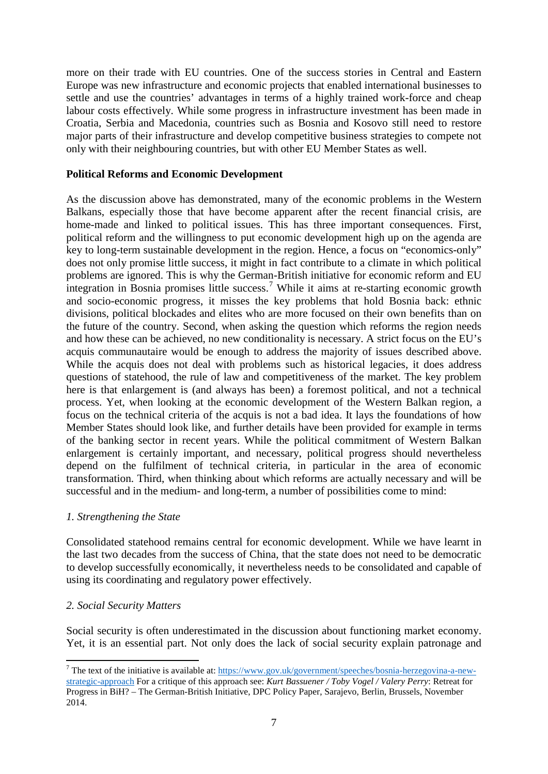more on their trade with EU countries. One of the success stories in Central and Eastern Europe was new infrastructure and economic projects that enabled international businesses to settle and use the countries' advantages in terms of a highly trained work-force and cheap labour costs effectively. While some progress in infrastructure investment has been made in Croatia, Serbia and Macedonia, countries such as Bosnia and Kosovo still need to restore major parts of their infrastructure and develop competitive business strategies to compete not only with their neighbouring countries, but with other EU Member States as well.

## **Political Reforms and Economic Development**

As the discussion above has demonstrated, many of the economic problems in the Western Balkans, especially those that have become apparent after the recent financial crisis, are home-made and linked to political issues. This has three important consequences. First, political reform and the willingness to put economic development high up on the agenda are key to long-term sustainable development in the region. Hence, a focus on "economics-only" does not only promise little success, it might in fact contribute to a climate in which political problems are ignored. This is why the German-British initiative for economic reform and EU integration in Bosnia promises little success.<sup>[7](#page-6-0)</sup> While it aims at re-starting economic growth and socio-economic progress, it misses the key problems that hold Bosnia back: ethnic divisions, political blockades and elites who are more focused on their own benefits than on the future of the country. Second, when asking the question which reforms the region needs and how these can be achieved, no new conditionality is necessary. A strict focus on the EU's acquis communautaire would be enough to address the majority of issues described above. While the acquis does not deal with problems such as historical legacies, it does address questions of statehood, the rule of law and competitiveness of the market. The key problem here is that enlargement is (and always has been) a foremost political, and not a technical process. Yet, when looking at the economic development of the Western Balkan region, a focus on the technical criteria of the acquis is not a bad idea. It lays the foundations of how Member States should look like, and further details have been provided for example in terms of the banking sector in recent years. While the political commitment of Western Balkan enlargement is certainly important, and necessary, political progress should nevertheless depend on the fulfilment of technical criteria, in particular in the area of economic transformation. Third, when thinking about which reforms are actually necessary and will be successful and in the medium- and long-term, a number of possibilities come to mind:

## *1. Strengthening the State*

Consolidated statehood remains central for economic development. While we have learnt in the last two decades from the success of China, that the state does not need to be democratic to develop successfully economically, it nevertheless needs to be consolidated and capable of using its coordinating and regulatory power effectively.

## *2. Social Security Matters*

 $\overline{a}$ 

Social security is often underestimated in the discussion about functioning market economy. Yet, it is an essential part. Not only does the lack of social security explain patronage and

<sup>7</sup> The text of the initiative is available at: [https://www.gov.uk/government/speeches/bosnia-herzegovina-a-new](https://www.gov.uk/government/speeches/bosnia-herzegovina-a-new-strategic-approach)[strategic-approach](https://www.gov.uk/government/speeches/bosnia-herzegovina-a-new-strategic-approach) For a critique of this approach see: *Kurt Bassuener / Toby Vogel / Valery Perry*: Retreat for Progress in BiH? – The German-British Initiative, DPC Policy Paper, Sarajevo, Berlin, Brussels, November 2014.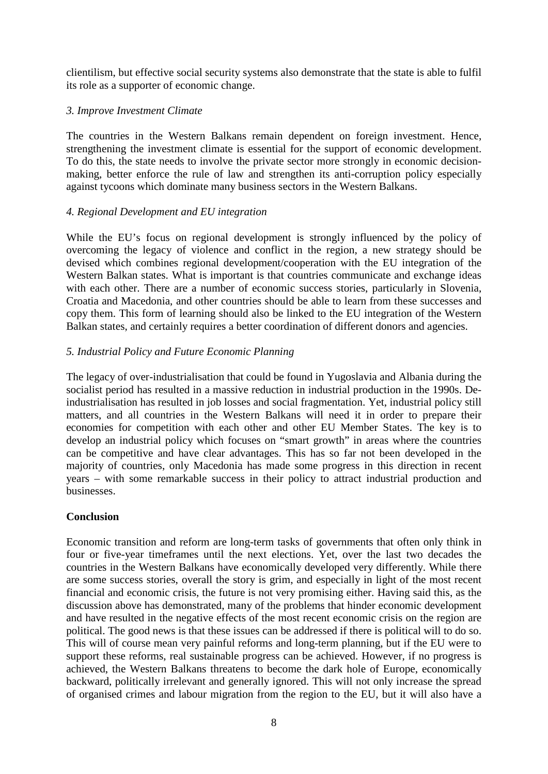clientilism, but effective social security systems also demonstrate that the state is able to fulfil its role as a supporter of economic change.

# *3. Improve Investment Climate*

The countries in the Western Balkans remain dependent on foreign investment. Hence, strengthening the investment climate is essential for the support of economic development. To do this, the state needs to involve the private sector more strongly in economic decisionmaking, better enforce the rule of law and strengthen its anti-corruption policy especially against tycoons which dominate many business sectors in the Western Balkans.

# *4. Regional Development and EU integration*

While the EU's focus on regional development is strongly influenced by the policy of overcoming the legacy of violence and conflict in the region, a new strategy should be devised which combines regional development/cooperation with the EU integration of the Western Balkan states. What is important is that countries communicate and exchange ideas with each other. There are a number of economic success stories, particularly in Slovenia, Croatia and Macedonia, and other countries should be able to learn from these successes and copy them. This form of learning should also be linked to the EU integration of the Western Balkan states, and certainly requires a better coordination of different donors and agencies.

# *5. Industrial Policy and Future Economic Planning*

The legacy of over-industrialisation that could be found in Yugoslavia and Albania during the socialist period has resulted in a massive reduction in industrial production in the 1990s. Deindustrialisation has resulted in job losses and social fragmentation. Yet, industrial policy still matters, and all countries in the Western Balkans will need it in order to prepare their economies for competition with each other and other EU Member States. The key is to develop an industrial policy which focuses on "smart growth" in areas where the countries can be competitive and have clear advantages. This has so far not been developed in the majority of countries, only Macedonia has made some progress in this direction in recent years – with some remarkable success in their policy to attract industrial production and businesses.

## **Conclusion**

Economic transition and reform are long-term tasks of governments that often only think in four or five-year timeframes until the next elections. Yet, over the last two decades the countries in the Western Balkans have economically developed very differently. While there are some success stories, overall the story is grim, and especially in light of the most recent financial and economic crisis, the future is not very promising either. Having said this, as the discussion above has demonstrated, many of the problems that hinder economic development and have resulted in the negative effects of the most recent economic crisis on the region are political. The good news is that these issues can be addressed if there is political will to do so. This will of course mean very painful reforms and long-term planning, but if the EU were to support these reforms, real sustainable progress can be achieved. However, if no progress is achieved, the Western Balkans threatens to become the dark hole of Europe, economically backward, politically irrelevant and generally ignored. This will not only increase the spread of organised crimes and labour migration from the region to the EU, but it will also have a